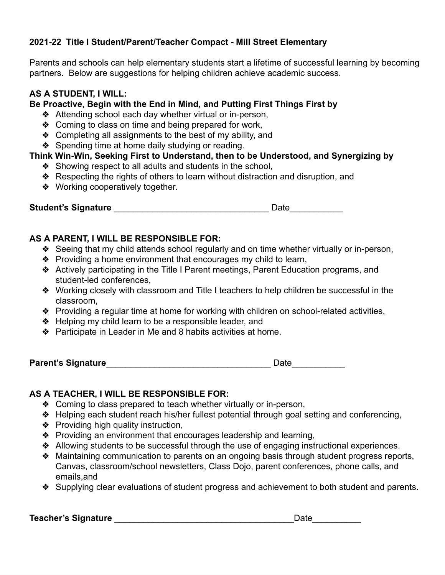# **2021-22 Title I Student/Parent/Teacher Compact - Mill Street Elementary**

Parents and schools can help elementary students start a lifetime of successful learning by becoming partners. Below are suggestions for helping children achieve academic success.

# **AS A STUDENT, I WILL:**

#### **Be Proactive, Begin with the End in Mind, and Putting First Things First by**

- ❖ Attending school each day whether virtual or in-person,
- ❖ Coming to class on time and being prepared for work,
- ❖ Completing all assignments to the best of my ability, and
- ❖ Spending time at home daily studying or reading.

### **Think Win-Win, Seeking First to Understand, then to be Understood, and Synergizing by**

- ❖ Showing respect to all adults and students in the school,
- ❖ Respecting the rights of others to learn without distraction and disruption, and
- ❖ Working cooperatively together.

**Student's Signature Contract Contract Contract Contract Contract Contract Contract Contract Contract Contract Contract Contract Contract Contract Contract Contract Contract Contract Contract Contract Contract Contract C** 

### **AS A PARENT, I WILL BE RESPONSIBLE FOR:**

- ❖ Seeing that my child attends school regularly and on time whether virtually or in-person,
- ❖ Providing a home environment that encourages my child to learn,
- ❖ Actively participating in the Title I Parent meetings, Parent Education programs, and student-led conferences,
- ❖ Working closely with classroom and Title I teachers to help children be successful in the classroom,
- ❖ Providing a regular time at home for working with children on school-related activities,
- ❖ Helping my child learn to be a responsible leader, and
- ❖ Participate in Leader in Me and 8 habits activities at home.

**Parent's Signature Contract Contract Contract Contract Contract Contract Contract Contract Contract Contract Contract Contract Contract Contract Contract Contract Contract Contract Contract Contract Contract Contract Co** 

### **AS A TEACHER, I WILL BE RESPONSIBLE FOR:**

- ❖ Coming to class prepared to teach whether virtually or in-person,
- ❖ Helping each student reach his/her fullest potential through goal setting and conferencing,
- ❖ Providing high quality instruction,
- ❖ Providing an environment that encourages leadership and learning,
- ❖ Allowing students to be successful through the use of engaging instructional experiences.
- ❖ Maintaining communication to parents on an ongoing basis through student progress reports, Canvas, classroom/school newsletters, Class Dojo, parent conferences, phone calls, and emails,and
- ❖ Supplying clear evaluations of student progress and achievement to both student and parents.

**Teacher's Signature Lease Algebra 2012 Contract 2013 Contract 2013 Contract 2013**